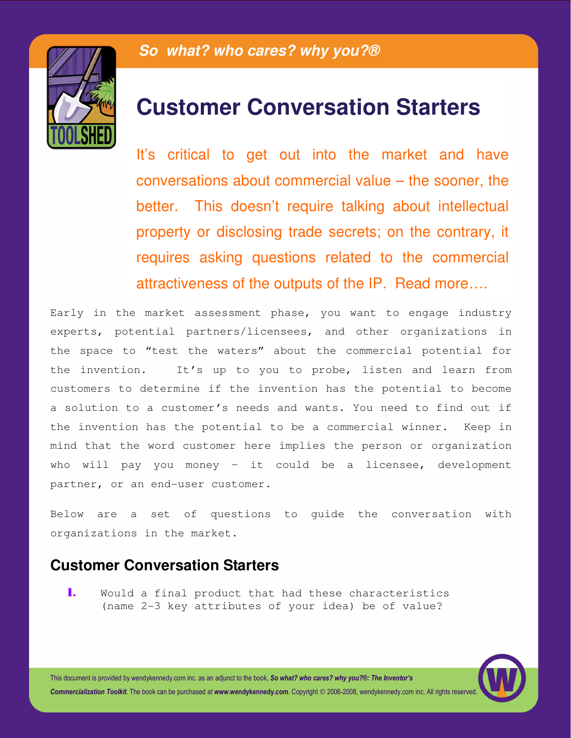

## **Customer Conversation Starters**

It's critical to get out into the market and have conversations about commercial value – the sooner, the better. This doesn't require talking about intellectual property or disclosing trade secrets; on the contrary, it requires asking questions related to the commercial attractiveness of the outputs of the IP. Read more….

Early in the market assessment phase, you want to engage industry experts, potential partners/licensees, and other organizations in the space to "test the waters" about the commercial potential for the invention. It's up to you to probe, listen and learn from customers to determine if the invention has the potential to become a solution to a customer's needs and wants. You need to find out if the invention has the potential to be a commercial winner. Keep in mind that the word customer here implies the person or organization who will pay you money – it could be a licensee, development partner, or an end-user customer.

Below are a set of questions to guide the conversation with organizations in the market.

## **Customer Conversation Starters**

1. Would a final product that had these characteristics (name 2-3 key attributes of your idea) be of value?

This document is provided by wendykennedy.com inc. as an adjunct to the book, So what? who cares? why you?®: The Inventor's Commercialization Toolkit. The book can be purchased at www.wendykennedy.com. Copyright © 2006-2008, wendykennedy.com inc. All rights reserved